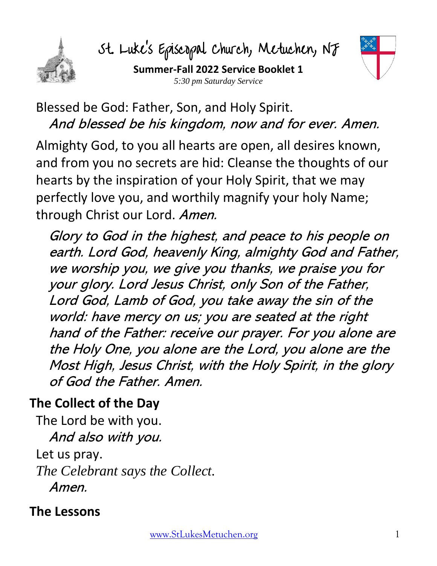

St. Luke's Episcopal Church, Metuchen, NJ **Summer-Fall 2022 Service Booklet 1** *5:30 pm Saturday Service*



Blessed be God: Father, Son, and Holy Spirit. And blessed be his kingdom, now and for ever. Amen.

Almighty God, to you all hearts are open, all desires known, and from you no secrets are hid: Cleanse the thoughts of our hearts by the inspiration of your Holy Spirit, that we may perfectly love you, and worthily magnify your holy Name; through Christ our Lord. Amen.

Glory to God in the highest, and peace to his people on earth. Lord God, heavenly King, almighty God and Father, we worship you, we give you thanks, we praise you for your glory. Lord Jesus Christ, only Son of the Father, Lord God, Lamb of God, you take away the sin of the world: have mercy on us; you are seated at the right hand of the Father: receive our prayer. For you alone are the Holy One, you alone are the Lord, you alone are the Most High, Jesus Christ, with the Holy Spirit, in the glory of God the Father. Amen.

## **The Collect of the Day**

The Lord be with you. And also with you. Let us pray. *The Celebrant says the Collect.* Amen.

### **The Lessons**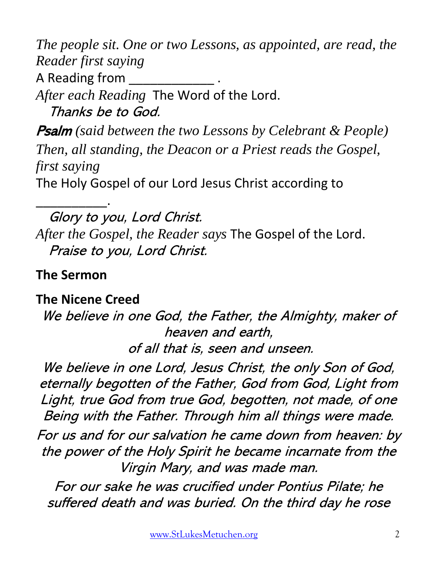*The people sit. One or two Lessons, as appointed, are read, the Reader first saying*

A Reading from **NAMA** 

*After each Reading* The Word of the Lord. Thanks be to God.

Psalm *(said between the two Lessons by Celebrant & People) Then, all standing, the Deacon or a Priest reads the Gospel, first saying* The Holy Gospel of our Lord Jesus Christ according to

\_\_\_\_\_\_\_\_\_\_. Glory to you, Lord Christ.

*After the Gospel, the Reader says* The Gospel of the Lord. Praise to you, Lord Christ.

**The Sermon**

#### **The Nicene Creed**

We believe in one God, the Father, the Almighty, maker of heaven and earth, of all that is, seen and unseen.

We believe in one Lord, Jesus Christ, the only Son of God, eternally begotten of the Father, God from God, Light from Light, true God from true God, begotten, not made, of one Being with the Father. Through him all things were made. For us and for our salvation he came down from heaven: by the power of the Holy Spirit he became incarnate from the Virgin Mary, and was made man.

For our sake he was crucified under Pontius Pilate; he suffered death and was buried. On the third day he rose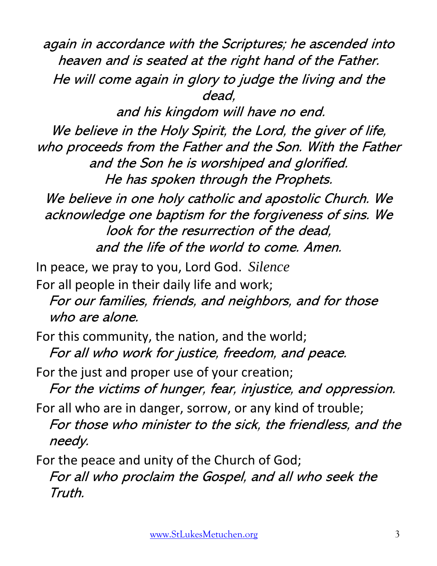again in accordance with the Scriptures; he ascended into heaven and is seated at the right hand of the Father. He will come again in glory to judge the living and the dead,

and his kingdom will have no end. We believe in the Holy Spirit, the Lord, the giver of life, who proceeds from the Father and the Son. With the Father and the Son he is worshiped and glorified. He has spoken through the Prophets.

We believe in one holy catholic and apostolic Church. We acknowledge one baptism for the forgiveness of sins. We look for the resurrection of the dead, and the life of the world to come. Amen.

In peace, we pray to you, Lord God. *Silence* For all people in their daily life and work;

For our families, friends, and neighbors, and for those who are alone.

For this community, the nation, and the world; For all who work for justice, freedom, and peace.

For the just and proper use of your creation;

For the victims of hunger, fear, injustice, and oppression.

For all who are in danger, sorrow, or any kind of trouble; For those who minister to the sick, the friendless, and the needy.

For the peace and unity of the Church of God; For all who proclaim the Gospel, and all who seek the Truth.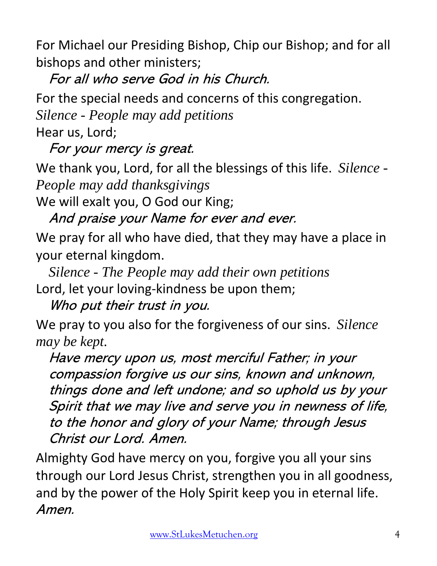For Michael our Presiding Bishop, Chip our Bishop; and for all bishops and other ministers;

For all who serve God in his Church.

For the special needs and concerns of this congregation. *Silence - People may add petitions* Hear us, Lord;

For your mercy is great.

We thank you, Lord, for all the blessings of this life. *Silence - People may add thanksgivings*

We will exalt you, O God our King;

And praise your Name for ever and ever.

We pray for all who have died, that they may have a place in your eternal kingdom.

*Silence - The People may add their own petitions* Lord, let your loving-kindness be upon them;

Who put their trust in you.

We pray to you also for the forgiveness of our sins. *Silence may be kept.*

Have mercy upon us, most merciful Father; in your compassion forgive us our sins, known and unknown, things done and left undone; and so uphold us by your Spirit that we may live and serve you in newness of life, to the honor and glory of your Name; through Jesus Christ our Lord. Amen.

Almighty God have mercy on you, forgive you all your sins through our Lord Jesus Christ, strengthen you in all goodness, and by the power of the Holy Spirit keep you in eternal life. Amen.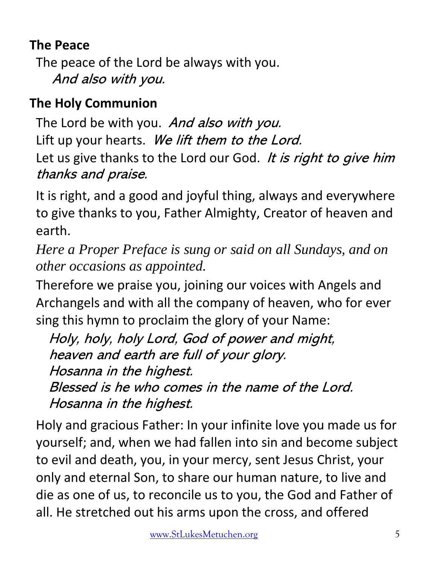## **The Peace**

The peace of the Lord be always with you. And also with you.

# **The Holy Communion**

The Lord be with you. And also with you. Lift up your hearts. We lift them to the Lord. Let us give thanks to the Lord our God. It is right to give him thanks and praise.

It is right, and a good and joyful thing, always and everywhere to give thanks to you, Father Almighty, Creator of heaven and earth.

*Here a Proper Preface is sung or said on all Sundays, and on other occasions as appointed.*

Therefore we praise you, joining our voices with Angels and Archangels and with all the company of heaven, who for ever sing this hymn to proclaim the glory of your Name:

Holy, holy, holy Lord, God of power and might, heaven and earth are full of your glory. Hosanna in the highest.

Blessed is he who comes in the name of the Lord. Hosanna in the highest.

Holy and gracious Father: In your infinite love you made us for yourself; and, when we had fallen into sin and become subject to evil and death, you, in your mercy, sent Jesus Christ, your only and eternal Son, to share our human nature, to live and die as one of us, to reconcile us to you, the God and Father of all. He stretched out his arms upon the cross, and offered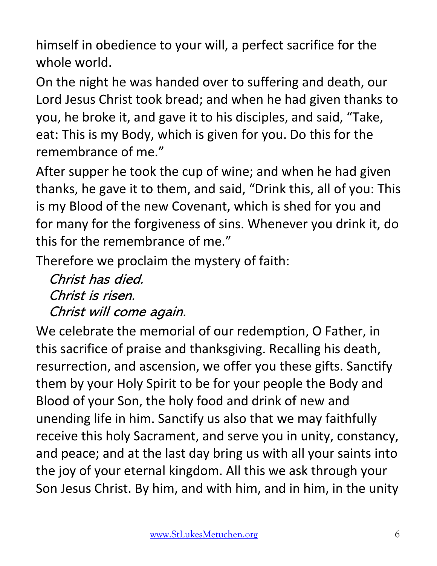himself in obedience to your will, a perfect sacrifice for the whole world.

On the night he was handed over to suffering and death, our Lord Jesus Christ took bread; and when he had given thanks to you, he broke it, and gave it to his disciples, and said, "Take, eat: This is my Body, which is given for you. Do this for the remembrance of me."

After supper he took the cup of wine; and when he had given thanks, he gave it to them, and said, "Drink this, all of you: This is my Blood of the new Covenant, which is shed for you and for many for the forgiveness of sins. Whenever you drink it, do this for the remembrance of me."

Therefore we proclaim the mystery of faith:

Christ has died. Christ is risen. Christ will come again.

We celebrate the memorial of our redemption, O Father, in this sacrifice of praise and thanksgiving. Recalling his death, resurrection, and ascension, we offer you these gifts. Sanctify them by your Holy Spirit to be for your people the Body and Blood of your Son, the holy food and drink of new and unending life in him. Sanctify us also that we may faithfully receive this holy Sacrament, and serve you in unity, constancy, and peace; and at the last day bring us with all your saints into the joy of your eternal kingdom. All this we ask through your Son Jesus Christ. By him, and with him, and in him, in the unity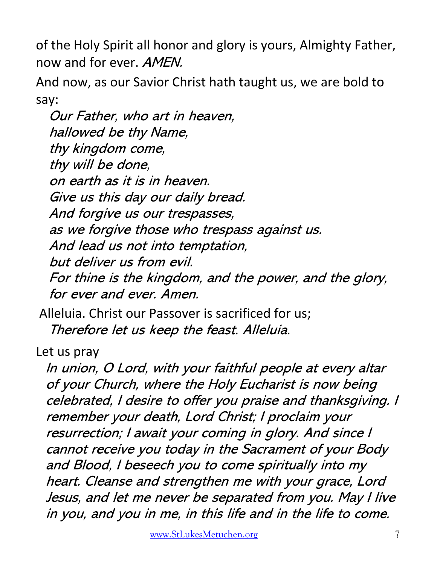of the Holy Spirit all honor and glory is yours, Almighty Father, now and for ever. AMEN.

And now, as our Savior Christ hath taught us, we are bold to say:

Our Father, who art in heaven, hallowed be thy Name, thy kingdom come, thy will be done, on earth as it is in heaven. Give us this day our daily bread. And forgive us our trespasses, as we forgive those who trespass against us. And lead us not into temptation, but deliver us from evil. For thine is the kingdom, and the power, and the glory, for ever and ever. Amen.

Alleluia. Christ our Passover is sacrificed for us; Therefore let us keep the feast. Alleluia.

Let us pray

In union, O Lord, with your faithful people at every altar of your Church, where the Holy Eucharist is now being celebrated, I desire to offer you praise and thanksgiving. I remember your death, Lord Christ; I proclaim your resurrection; I await your coming in glory. And since I cannot receive you today in the Sacrament of your Body and Blood, I beseech you to come spiritually into my heart. Cleanse and strengthen me with your grace, Lord Jesus, and let me never be separated from you. May I live in you, and you in me, in this life and in the life to come.